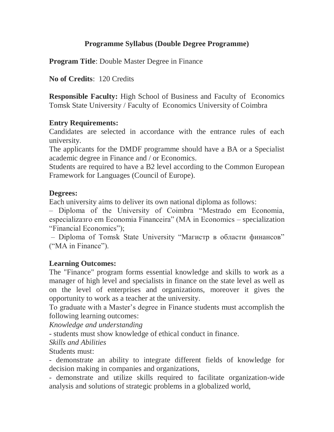# **Programme Syllabus (Double Degree Programme)**

**Program Title**: Double Master Degree in Finance

**No of Credits**: 120 Credits

**Responsible Faculty:** High School of Business and Faculty of Economics Tomsk State University / Faculty of Economics University of Coimbra

# **Entry Requirements:**

Candidates are selected in accordance with the entrance rules of each university.

The applicants for the DMDF programme should have a BA or a Specialist academic degree in Finance and / or Economics.

Students are required to have a B2 level according to the Common European Framework for Languages (Council of Europe).

# **Degrees:**

Each university aims to deliver its own national diploma as follows:

– Diploma of the University of Coimbra "Mestrado em Economia, especializaзгo em Economia Financeira" (MA in Economics – specialization "Financial Economics");

– Diploma of Tomsk State University "Магистр в области финансов" ("MA in Finance").

# **Learning Outcomes:**

The "Finance" program forms essential knowledge and skills to work as a manager of high level and specialists in finance on the state level as well as on the level of enterprises and organizations, moreover it gives the opportunity to work as a teacher at the university.

To graduate with a Master's degree in Finance students must accomplish the following learning outcomes:

*Knowledge and understanding*

- students must show knowledge of ethical conduct in finance.

# *Skills and Abilities*

Students must:

- demonstrate an ability to integrate different fields of knowledge for decision making in companies and organizations,

- demonstrate and utilize skills required to facilitate organization-wide analysis and solutions of strategic problems in a globalized world,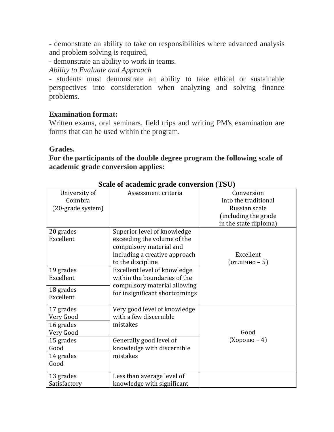- demonstrate an ability to take on responsibilities where advanced analysis and problem solving is required,

- demonstrate an ability to work in teams.

*Ability to Evaluate and Approach*

- students must demonstrate an ability to take ethical or sustainable perspectives into consideration when analyzing and solving finance problems.

# **Examination format:**

Written exams, oral seminars, field trips and writing PM's examination are forms that can be used within the program.

## **Grades.**

**For the participants of the double degree program the following scale of academic grade conversion applies:**

|                   | $\frac{1}{2}$                  |                       |
|-------------------|--------------------------------|-----------------------|
| University of     | Assessment criteria            | Conversion            |
| Coimbra           |                                | into the traditional  |
| (20-grade system) |                                | Russian scale         |
|                   |                                | (including the grade  |
|                   |                                | in the state diploma) |
| 20 grades         | Superior level of knowledge    |                       |
| Excellent         | exceeding the volume of the    |                       |
|                   | compulsory material and        |                       |
|                   | including a creative approach  | Excellent             |
|                   | to the discipline              | (отлично - 5)         |
| 19 grades         | Excellent level of knowledge   |                       |
| Excellent         | within the boundaries of the   |                       |
|                   | compulsory material allowing   |                       |
| 18 grades         | for insignificant shortcomings |                       |
| Excellent         |                                |                       |
| 17 grades         | Very good level of knowledge   |                       |
|                   | with a few discernible         |                       |
| Very Good         |                                |                       |
| 16 grades         | mistakes                       |                       |
| Very Good         |                                | Good                  |
| 15 grades         | Generally good level of        | (Хорошо – 4)          |
| Good              | knowledge with discernible     |                       |
| 14 grades         | mistakes                       |                       |
| Good              |                                |                       |
|                   |                                |                       |
| 13 grades         | Less than average level of     |                       |
| Satisfactory      | knowledge with significant     |                       |

## **Scale of academic grade conversion (TSU)**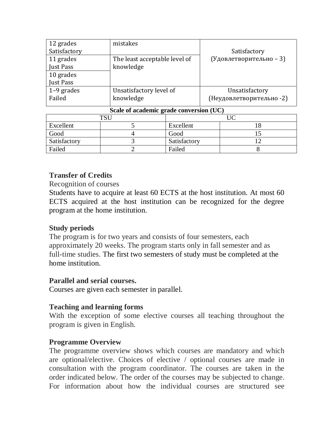| 12 grades    | mistakes                      |                          |
|--------------|-------------------------------|--------------------------|
| Satisfactory |                               | Satisfactory             |
| 11 grades    | The least acceptable level of | (Удовлетворительно - 3)  |
| Just Pass    | knowledge                     |                          |
| 10 grades    |                               |                          |
| Just Pass    |                               |                          |
| $1-9$ grades | Unsatisfactory level of       | Unsatisfactory           |
| Failed       | knowledge                     | (Неудовлетворительно -2) |
|              |                               |                          |

| Scale of academic grade conversion (UC) |  |              |  |  |
|-----------------------------------------|--|--------------|--|--|
| TCI                                     |  |              |  |  |
| Excellent                               |  | Excellent    |  |  |
| Good                                    |  | Good         |  |  |
| Satisfactory                            |  | Satisfactory |  |  |
| Failed                                  |  | Failed       |  |  |

# **Transfer of Credits**

## Recognition of courses

Students have to acquire at least 60 ECTS at the host institution. At most 60 ECTS acquired at the host institution can be recognized for the degree program at the home institution.

# **Study periods**

The program is for two years and consists of four semesters, each approximately 20 weeks. The program starts only in fall semester and as full-time studies. The first two semesters of study must be completed at the home institution.

## **Parallel and serial courses.**

Courses are given each semester in parallel.

# **Teaching and learning forms**

With the exception of some elective courses all teaching throughout the program is given in English.

# **Programme Overview**

The programme overview shows which courses are mandatory and which are optional/elective. Choices of elective / optional courses are made in consultation with the program coordinator. The courses are taken in the order indicated below. The order of the courses may be subjected to change. For information about how the individual courses are structured see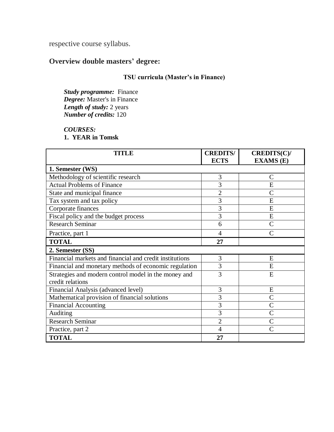respective course syllabus.

# **Overview double masters' degree:**

## **TSU curricula (Master's in Finance)**

*Study programme:* Finance *Degree:* Master's in Finance *Length of study:* 2 years *Number of credits:* 120

### *COURSES:*

### **1. YEAR in Tomsk**

| <b>TITLE</b>                                            | <b>CREDITS/</b> | CREDITS(C)/      |  |  |
|---------------------------------------------------------|-----------------|------------------|--|--|
|                                                         | <b>ECTS</b>     | <b>EXAMS</b> (E) |  |  |
| 1. Semester (WS)                                        |                 |                  |  |  |
| Methodology of scientific research                      | 3               | $\mathcal{C}$    |  |  |
| <b>Actual Problems of Finance</b>                       | 3               | E                |  |  |
| State and municipal finance                             | $\overline{2}$  | $\overline{C}$   |  |  |
| Tax system and tax policy                               | 3               | E                |  |  |
| Corporate finances                                      | $\overline{3}$  | E                |  |  |
| Fiscal policy and the budget process                    | 3               | E                |  |  |
| <b>Research Seminar</b>                                 | 6               | $\overline{C}$   |  |  |
| Practice, part 1                                        | 4               |                  |  |  |
| <b>TOTAL</b>                                            | 27              |                  |  |  |
| 2. Semester (SS)                                        |                 |                  |  |  |
| Financial markets and financial and credit institutions | 3               | E                |  |  |
| Financial and monetary methods of economic regulation   | 3               | E                |  |  |
| Strategies and modern control model in the money and    | 3               | E                |  |  |
| credit relations                                        |                 |                  |  |  |
| Financial Analysis (advanced level)                     | 3               | E                |  |  |
| Mathematical provision of financial solutions           | 3               | $\overline{C}$   |  |  |
| <b>Financial Accounting</b>                             | 3               | $\overline{C}$   |  |  |
| Auditing                                                | 3               | $\overline{C}$   |  |  |
| <b>Research Seminar</b>                                 | $\overline{2}$  |                  |  |  |
| Practice, part 2                                        | 4               | Ċ                |  |  |
| <b>TOTAL</b>                                            | 27              |                  |  |  |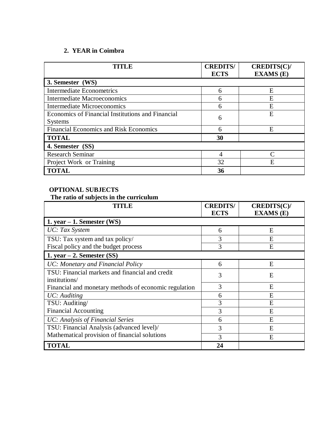## **2. YEAR in Coimbra**

| TITLE                                             | <b>CREDITS/</b><br><b>ECTS</b> | CREDITS(C)/<br><b>EXAMS</b> (E) |
|---------------------------------------------------|--------------------------------|---------------------------------|
| 3. Semester (WS)                                  |                                |                                 |
| <b>Intermediate Econometrics</b>                  | 6                              | E                               |
| <b>Intermediate Macroeconomics</b>                | 6                              | E                               |
| <b>Intermediate Microeconomics</b>                | 6                              | E                               |
| Economics of Financial Institutions and Financial | 6                              | E                               |
| <b>Systems</b>                                    |                                |                                 |
| <b>Financial Economics and Risk Economics</b>     | 6                              | E                               |
| <b>TOTAL</b>                                      | 30                             |                                 |
| 4. Semester (SS)                                  |                                |                                 |
| Research Seminar                                  | 4                              | ⌒                               |
| Project Work or Training                          | 32                             | Е                               |
| <b>TOTAL</b>                                      | 36                             |                                 |

### **OPTIONAL SUBJECTS**

## **The ratio of subjects in the curriculum**

| TITLE                                                 | <b>CREDITS/</b><br><b>ECTS</b> | CREDITS(C)/<br><b>EXAMS</b> (E) |
|-------------------------------------------------------|--------------------------------|---------------------------------|
| 1. year $-1$ . Semester (WS)                          |                                |                                 |
| UC: Tax System                                        | 6                              | E                               |
| TSU: Tax system and tax policy/                       | 3                              | E                               |
| Fiscal policy and the budget process                  | 3                              | E                               |
| 1. year $-2$ . Semester (SS)                          |                                |                                 |
| UC: Monetary and Financial Policy                     | 6                              | E                               |
| TSU: Financial markets and financial and credit       | 3                              | E                               |
| institutions/                                         |                                |                                 |
| Financial and monetary methods of economic regulation | 3                              | E                               |
| UC: Auditing                                          | 6                              | E                               |
| TSU: Auditing/                                        | 3                              | E                               |
| <b>Financial Accounting</b>                           | 3                              | E                               |
| UC: Analysis of Financial Series                      | 6                              | E                               |
| TSU: Financial Analysis (advanced level)/             | 3                              | E                               |
| Mathematical provision of financial solutions         | 3                              | E                               |
| <b>TOTAL</b>                                          | 24                             |                                 |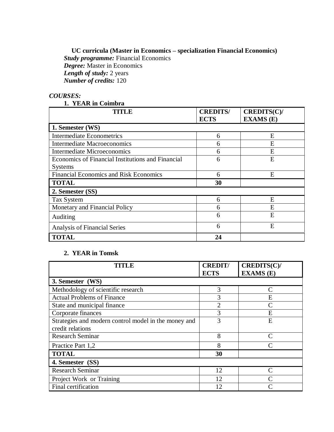**UC curricula (Master in Economics – specialization Financial Economics)** *Study programme:* Financial Economics *Degree:* Master in Economics *Length of study:* 2 years *Number of credits:* 120

### *COURSES:*

### **1. YEAR in Coimbra**

| <b>TITLE</b>                                      | <b>CREDITS/</b><br><b>ECTS</b> | CREDITS(C)/<br><b>EXAMS</b> (E) |  |
|---------------------------------------------------|--------------------------------|---------------------------------|--|
| 1. Semester (WS)                                  |                                |                                 |  |
| <b>Intermediate Econometrics</b>                  | 6                              | Ε                               |  |
| <b>Intermediate Macroeconomics</b>                | 6                              | E                               |  |
| <b>Intermediate Microeconomics</b>                | 6                              | E,                              |  |
| Economics of Financial Institutions and Financial | 6                              | E                               |  |
| <b>Systems</b>                                    |                                |                                 |  |
| <b>Financial Economics and Risk Economics</b>     | 6                              | E                               |  |
| <b>TOTAL</b>                                      | 30                             |                                 |  |
| 2. Semester (SS)                                  |                                |                                 |  |
| Tax System                                        | 6                              | E                               |  |
| Monetary and Financial Policy                     | 6                              | E                               |  |
| Auditing                                          | 6                              | E                               |  |
| <b>Analysis of Financial Series</b>               | 6                              | E                               |  |
| <b>TOTAL</b>                                      | 24                             |                                 |  |

### **2. YEAR in Tomsk**

| <b>TITLE</b>                                         | <b>CREDIT/</b><br><b>ECTS</b> | CREDITS(C)/<br><b>EXAMS</b> (E) |  |
|------------------------------------------------------|-------------------------------|---------------------------------|--|
| 3. Semester (WS)                                     |                               |                                 |  |
| Methodology of scientific research                   | 3                             |                                 |  |
| <b>Actual Problems of Finance</b>                    | 3                             | E                               |  |
| State and municipal finance                          | $\overline{2}$                |                                 |  |
| Corporate finances                                   | 3                             | E                               |  |
| Strategies and modern control model in the money and | 3                             | Е                               |  |
| credit relations                                     |                               |                                 |  |
| <b>Research Seminar</b>                              | 8                             |                                 |  |
| Practice Part 1,2                                    | 8                             |                                 |  |
| <b>TOTAL</b>                                         | 30                            |                                 |  |
| 4. Semester (SS)                                     |                               |                                 |  |
| <b>Research Seminar</b>                              | 12                            |                                 |  |
| Project Work or Training                             | 12                            |                                 |  |
| Final certification                                  | 12                            |                                 |  |